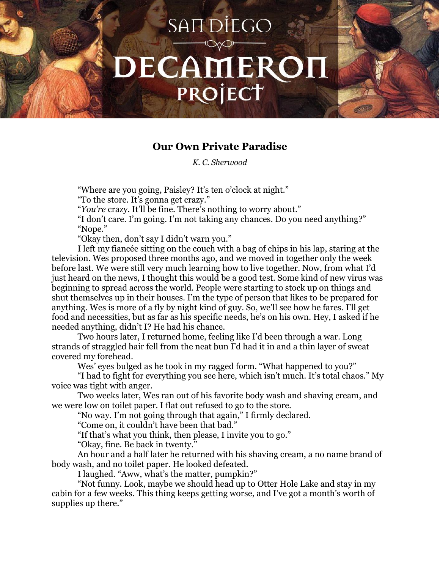## SAN DIEGO DECAMEROI PROJECT



*K. C. Sherwood*

"Where are you going, Paisley? It's ten o'clock at night."

"To the store. It's gonna get crazy."

"*You're* crazy. It'll be fine. There's nothing to worry about."

"I don't care. I'm going. I'm not taking any chances. Do you need anything?" "Nope."

"Okay then, don't say I didn't warn you."

I left my fiancée sitting on the couch with a bag of chips in his lap, staring at the television. Wes proposed three months ago, and we moved in together only the week before last. We were still very much learning how to live together. Now, from what I'd just heard on the news, I thought this would be a good test. Some kind of new virus was beginning to spread across the world. People were starting to stock up on things and shut themselves up in their houses. I'm the type of person that likes to be prepared for anything. Wes is more of a fly by night kind of guy. So, we'll see how he fares. I'll get food and necessities, but as far as his specific needs, he's on his own. Hey, I asked if he needed anything, didn't I? He had his chance.

Two hours later, I returned home, feeling like I'd been through a war. Long strands of straggled hair fell from the neat bun I'd had it in and a thin layer of sweat covered my forehead.

Wes' eyes bulged as he took in my ragged form. "What happened to you?"

"I had to fight for everything you see here, which isn't much. It's total chaos." My voice was tight with anger.

Two weeks later, Wes ran out of his favorite body wash and shaving cream, and we were low on toilet paper. I flat out refused to go to the store.

"No way. I'm not going through that again," I firmly declared.

"Come on, it couldn't have been that bad."

"If that's what you think, then please, I invite you to go."

"Okay, fine. Be back in twenty."

An hour and a half later he returned with his shaving cream, a no name brand of body wash, and no toilet paper. He looked defeated.

I laughed. "Aww, what's the matter, pumpkin?"

"Not funny. Look, maybe we should head up to Otter Hole Lake and stay in my cabin for a few weeks. This thing keeps getting worse, and I've got a month's worth of supplies up there."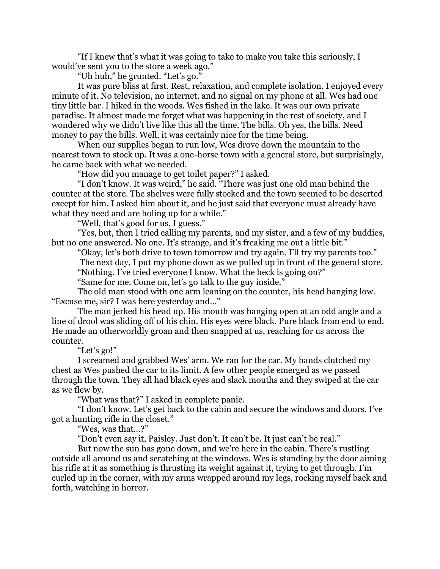"If I knew that's what it was going to take to make you take this seriously, I would've sent you to the store a week ago."

"Uh huh," he grunted. "Let's go."

It was pure bliss at first. Rest, relaxation, and complete isolation. I enjoyed every minute of it. No television, no internet, and no signal on my phone at all. Wes had one tiny little bar. I hiked in the woods. Wes fished in the lake. It was our own private paradise. It almost made me forget what was happening in the rest of society, and I wondered why we didn't live like this all the time. The bills. Oh yes, the bills. Need money to pay the bills. Well, it was certainly nice for the time being.

When our supplies began to run low, Wes drove down the mountain to the nearest town to stock up. It was a one-horse town with a general store, but surprisingly, he came back with what we needed.

"How did you manage to get toilet paper?" I asked.

"I don't know. It was weird," he said. "There was just one old man behind the counter at the store. The shelves were fully stocked and the town seemed to be deserted except for him. I asked him about it, and he just said that everyone must already have what they need and are holing up for a while."

"Well, that's good for us, I guess."

"Yes, but, then I tried calling my parents, and my sister, and a few of my buddies, but no one answered. No one. It's strange, and it's freaking me out a little bit."

"Okay, let's both drive to town tomorrow and try again. I'll try my parents too."

The next day, I put my phone down as we pulled up in front of the general store.

"Nothing. I've tried everyone I know. What the heck is going on?"

"Same for me. Come on, let's go talk to the guy inside."

The old man stood with one arm leaning on the counter, his head hanging low. "Excuse me, sir? I was here yesterday and…"

The man jerked his head up. His mouth was hanging open at an odd angle and a line of drool was sliding off of his chin. His eyes were black. Pure black from end to end. He made an otherworldly groan and then snapped at us, reaching for us across the counter.

"Let's go!"

I screamed and grabbed Wes' arm. We ran for the car. My hands clutched my chest as Wes pushed the car to its limit. A few other people emerged as we passed through the town. They all had black eyes and slack mouths and they swiped at the car as we flew by.

"What was that?" I asked in complete panic.

"I don't know. Let's get back to the cabin and secure the windows and doors. I've got a hunting rifle in the closet."

"Wes, was that…?"

"Don't even say it, Paisley. Just don't. It can't be. It just can't be real."

But now the sun has gone down, and we're here in the cabin. There's rustling outside all around us and scratching at the windows. Wes is standing by the door aiming his rifle at it as something is thrusting its weight against it, trying to get through. I'm curled up in the corner, with my arms wrapped around my legs, rocking myself back and forth, watching in horror.